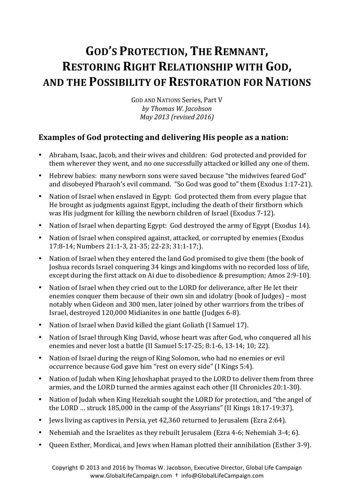# **GOD'S PROTECTION, THE REMNANT, RESTORING RIGHT RELATIONSHIP WITH GOD, AND THE POSSIBILITY OF RESTORATION FOR NATIONS**

GOD AND NATIONS Series, Part V *by Thomas W. Jacobson May 2013 (revised 2016)*

# **Examples of God protecting and delivering His people as a nation:**

- Abraham, Isaac, Jacob, and their wives and children: God protected and provided for them wherever they went, and no one successfully attacked or killed any one of them.
- Hebrew babies: many newborn sons were saved because "the midwives feared God" and disobeyed Pharaoh's evil command. "So God was good to" them (Exodus 1:17-21).
- Nation of Israel when enslaved in Egypt: God protected them from every plague that He brought as judgments against Egypt, including the death of their firstborn which was His judgment for killing the newborn children of Israel (Exodus 7-12).
- Nation of Israel when departing Egypt: God destroyed the army of Egypt (Exodus 14).
- Nation of Israel when conspired against, attacked, or corrupted by enemies (Exodus 17:8-14; Numbers 21:1-3, 21-35; 22-23; 31:1-17;).
- Nation of Israel when they entered the land God promised to give them (the book of Joshua records Israel conquering 34 kings and kingdoms with no recorded loss of life. except during the first attack on Ai due to disobedience & presumption; Amos 2:9-10).
- Nation of Israel when they cried out to the LORD for deliverance, after He let their enemies conquer them because of their own sin and idolatry (book of Judges) – most notably when Gideon and 300 men, later joined by other warriors from the tribes of Israel, destroyed 120,000 Midianites in one battle (Judges 6-8).
- Nation of Israel when David killed the giant Goliath (I Samuel 17).
- Nation of Israel through King David, whose heart was after God, who conquered all his enemies and never lost a battle (II Samuel  $5:17-25: 8:1-6, 13-14: 10: 22$ ).
- Nation of Israel during the reign of King Solomon, who had no enemies or evil occurrence because God gave him "rest on every side" (I Kings 5:4).
- Nation of Judah when King Jehoshaphat prayed to the LORD to deliver them from three armies, and the LORD turned the armies against each other (II Chronicles 20:1-30).
- Nation of Judah when King Hezekiah sought the LORD for protection, and "the angel of the LORD ... struck  $185,000$  in the camp of the Assyrians" (II Kings  $18:17-19:37$ ).
- Jews living as captives in Persia, vet 42,360 returned to Jerusalem (Ezra 2:64).
- Nehemiah and the Israelites as they rebuilt Jerusalem (Ezra 4-6; Nehemiah 3-4; 6).
- Queen Esther, Mordicai, and Jews when Haman plotted their annihilation (Esther 3-9).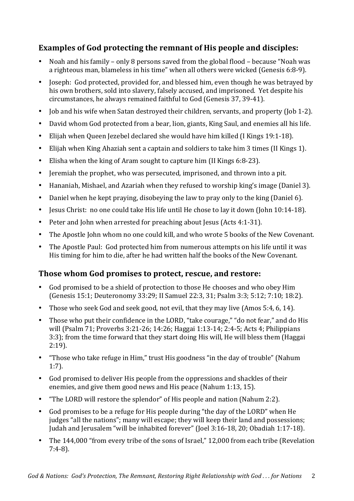# **Examples of God protecting the remnant of His people and disciples:**

- Noah and his family only 8 persons saved from the global flood because "Noah was a righteous man, blameless in his time" when all others were wicked (Genesis 6:8-9).
- Joseph: God protected, provided for, and blessed him, even though he was betrayed by his own brothers, sold into slavery, falsely accused, and imprisoned. Yet despite his circumstances, he always remained faithful to God (Genesis 37, 39-41).
- Job and his wife when Satan destroved their children, servants, and property (Job 1-2).
- David whom God protected from a bear, lion, giants, King Saul, and enemies all his life.
- Elijah when Queen Jezebel declared she would have him killed (I Kings 19:1-18).
- Elijah when King Ahaziah sent a captain and soldiers to take him 3 times (II Kings 1).
- Elisha when the king of Aram sought to capture him (II Kings 6:8-23).
- Jeremiah the prophet, who was persecuted, imprisoned, and thrown into a pit.
- Hananiah, Mishael, and Azariah when they refused to worship king's image (Daniel 3).
- Daniel when he kept praying, disobeying the law to pray only to the king (Daniel 6).
- Jesus Christ: no one could take His life until He chose to lay it down (John 10:14-18).
- Peter and John when arrested for preaching about Jesus (Acts 4:1-31).
- The Apostle John whom no one could kill, and who wrote 5 books of the New Covenant.
- The Apostle Paul: God protected him from numerous attempts on his life until it was His timing for him to die, after he had written half the books of the New Covenant.

#### **Those whom God promises to protect, rescue, and restore:**

- God promised to be a shield of protection to those He chooses and who obey Him (Genesis 15:1; Deuteronomy 33:29; II Samuel 22:3, 31; Psalm 3:3; 5:12; 7:10; 18:2).
- Those who seek God and seek good, not evil, that they may live (Amos 5:4, 6, 14).
- Those who put their confidence in the LORD, "take courage," "do not fear," and do His will (Psalm 71; Proverbs 3:21-26; 14:26; Haggai 1:13-14; 2:4-5; Acts 4; Philippians 3:3); from the time forward that they start doing His will, He will bless them (Haggai) 2:19).
- "Those who take refuge in Him," trust His goodness "in the day of trouble" (Nahum 1:7).
- God promised to deliver His people from the oppressions and shackles of their enemies, and give them good news and His peace (Nahum 1:13, 15).
- "The LORD will restore the splendor" of His people and nation (Nahum 2:2).
- God promises to be a refuge for His people during "the day of the LORD" when He judges "all the nations"; many will escape; they will keep their land and possessions; Judah and Jerusalem "will be inhabited forever" (Joel 3:16-18, 20; Obadiah 1:17-18).
- The 144,000 "from every tribe of the sons of Israel," 12,000 from each tribe (Revelation 7:4-8).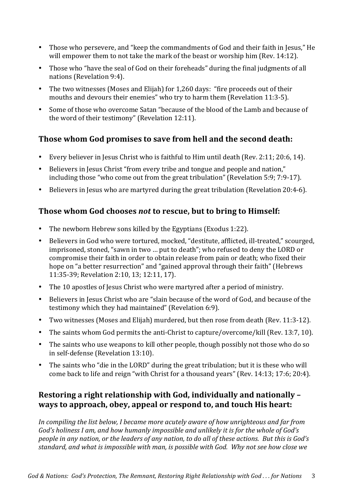- Those who persevere, and "keep the commandments of God and their faith in Jesus," He will empower them to not take the mark of the beast or worship him (Rev.  $14:12$ ).
- Those who "have the seal of God on their foreheads" during the final judgments of all nations (Revelation 9:4).
- The two witnesses (Moses and Elijah) for  $1,260$  days: "fire proceeds out of their mouths and devours their enemies" who try to harm them (Revelation 11:3-5).
- Some of those who overcome Satan "because of the blood of the Lamb and because of the word of their testimony" (Revelation 12:11).

#### **Those whom God promises to save from hell and the second death:**

- Every believer in Jesus Christ who is faithful to Him until death (Rev. 2:11; 20:6, 14).
- Believers in Jesus Christ "from every tribe and tongue and people and nation," including those "who come out from the great tribulation" (Revelation 5:9; 7:9-17).
- Believers in Jesus who are martyred during the great tribulation (Revelation 20:4-6).

#### **Those whom God chooses** *not* **to rescue, but to bring to Himself:**

- The newborn Hebrew sons killed by the Egyptians (Exodus 1:22).
- Believers in God who were tortured, mocked, "destitute, afflicted, ill-treated," scourged, imprisoned, stoned, "sawn in two ... put to death"; who refused to deny the LORD or compromise their faith in order to obtain release from pain or death; who fixed their hope on "a better resurrection" and "gained approval through their faith" (Hebrews 11:35-39; Revelation 2:10, 13; 12:11, 17).
- The 10 apostles of Jesus Christ who were martyred after a period of ministry.
- Believers in Jesus Christ who are "slain because of the word of God, and because of the testimony which they had maintained" (Revelation 6:9).
- Two witnesses (Moses and Elijah) murdered, but then rose from death (Rev. 11:3-12).
- The saints whom God permits the anti-Christ to capture/overcome/kill (Rev. 13:7, 10).
- The saints who use weapons to kill other people, though possibly not those who do so in self-defense (Revelation 13:10).
- The saints who "die in the LORD" during the great tribulation; but it is these who will come back to life and reign "with Christ for a thousand years" (Rev. 14:13; 17:6; 20:4).

#### **Restoring a right relationship with God, individually and nationally ways to approach, obey, appeal or respond to, and touch His heart:**

In compiling the list below, I became more acutely aware of how unrighteous and far from God's holiness I am, and how humanly impossible and unlikely it is for the whole of God's *people in any nation, or the leaders of any nation, to do all of these actions. But this is God's standard, and what is impossible with man, is possible with God. Why not see how close we*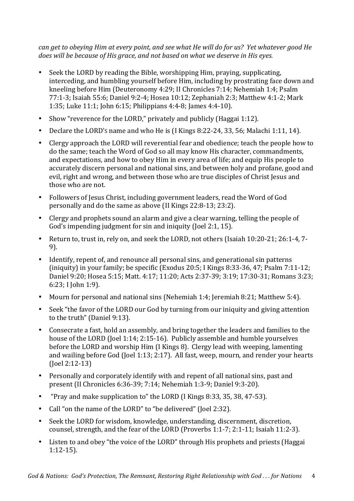*can get* to obeying Him at every point, and see what He will do for us? Yet whatever good He *does* will be because of His grace, and not based on what we deserve in His eyes.

- Seek the LORD by reading the Bible, worshipping Him, praying, supplicating, interceding, and humbling yourself before Him, including by prostrating face down and kneeling before Him (Deuteronomy 4:29; II Chronicles 7:14; Nehemiah 1:4; Psalm 77:1-3; Isaiah 55:6; Daniel 9:2-4; Hosea 10:12; Zephaniah 2:3; Matthew 4:1-2; Mark 1:35; Luke 11:1; John 6:15; Philippians 4:4-8; James 4:4-10).
- Show "reverence for the LORD," privately and publicly (Haggai 1:12).
- Declare the LORD's name and who He is (I Kings 8:22-24, 33, 56; Malachi 1:11, 14).
- Clergy approach the LORD will reverential fear and obedience; teach the people how to do the same; teach the Word of God so all may know His character, commandments, and expectations, and how to obey Him in every area of life; and equip His people to accurately discern personal and national sins, and between holy and profane, good and evil, right and wrong, and between those who are true disciples of Christ Jesus and those who are not.
- Followers of Jesus Christ, including government leaders, read the Word of God personally and do the same as above (II Kings 22:8-13: 23:2).
- Clergy and prophets sound an alarm and give a clear warning, telling the people of God's impending judgment for sin and iniquity (Joel 2:1, 15).
- Return to, trust in, rely on, and seek the LORD, not others (Isaiah  $10:20-21$ ;  $26:1-4$ , 7-9).
- Identify, repent of, and renounce all personal sins, and generational sin patterns (iniquity) in your family; be specific (Exodus 20:5; I Kings 8:33-36, 47; Psalm  $7:11-12$ ; Daniel 9:20; Hosea 5:15; Matt. 4:17; 11:20; Acts 2:37-39; 3:19; 17:30-31; Romans 3:23; 6:23: I Iohn 1:9).
- Mourn for personal and national sins (Nehemiah 1:4; Jeremiah 8:21; Matthew 5:4).
- Seek "the favor of the LORD our God by turning from our iniquity and giving attention to the truth" (Daniel 9:13).
- Consecrate a fast, hold an assembly, and bring together the leaders and families to the house of the LORD (Joel 1:14; 2:15-16). Publicly assemble and humble yourselves before the LORD and worship Him (I Kings 8). Clergy lead with weeping, lamenting and wailing before God (Joel 1:13; 2:17). All fast, weep, mourn, and render your hearts (Joel 2:12-13)
- Personally and corporately identify with and repent of all national sins, past and present (II Chronicles 6:36-39; 7:14; Nehemiah 1:3-9; Daniel 9:3-20).
- "Pray and make supplication to" the LORD (I Kings 8:33, 35, 38, 47-53).
- Call "on the name of the LORD" to "be delivered" (Joel 2:32).
- Seek the LORD for wisdom, knowledge, understanding, discernment, discretion, counsel, strength, and the fear of the LORD (Proverbs 1:1-7; 2:1-11; Isaiah 11:2-3).
- Listen to and obey "the voice of the LORD" through His prophets and priests (Haggai 1:12-15).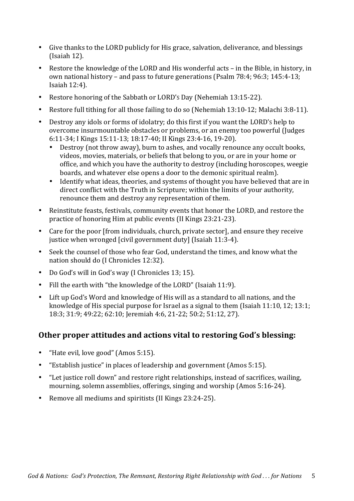- Give thanks to the LORD publicly for His grace, salvation, deliverance, and blessings  $(Isaiah 12).$
- Restore the knowledge of the LORD and His wonderful acts in the Bible, in history, in own national history – and pass to future generations (Psalm  $78:4$ ;  $96:3$ ;  $145:4-13$ ; Isaiah 12:4).
- Restore honoring of the Sabbath or LORD's Day (Nehemiah  $13:15-22$ ).
- Restore full tithing for all those failing to do so (Nehemiah  $13:10-12$ ; Malachi  $3:8-11$ ).
- Destroy any idols or forms of idolatry; do this first if you want the LORD's help to overcome insurmountable obstacles or problems, or an enemy too powerful (Judges 6:11-34; I Kings 15:11-13; 18:17-40; II Kings 23:4-16, 19-20).
	- Destroy (not throw away), burn to ashes, and vocally renounce any occult books, videos, movies, materials, or beliefs that belong to you, or are in your home or office, and which you have the authority to destroy (including horoscopes, weegie boards, and whatever else opens a door to the demonic spiritual realm).
	- Identify what ideas, theories, and systems of thought you have believed that are in direct conflict with the Truth in Scripture; within the limits of your authority, renounce them and destroy any representation of them.
- Reinstitute feasts, festivals, community events that honor the LORD, and restore the practice of honoring Him at public events (II Kings 23:21-23).
- Care for the poor [from individuals, church, private sector], and ensure they receive justice when wronged [civil government duty] (Isaiah 11:3-4).
- Seek the counsel of those who fear God, understand the times, and know what the nation should do (I Chronicles 12:32).
- Do God's will in God's way (I Chronicles 13; 15).
- Fill the earth with "the knowledge of the LORD" (Isaiah 11:9).
- Lift up God's Word and knowledge of His will as a standard to all nations, and the knowledge of His special purpose for Israel as a signal to them (Isaiah  $11:10, 12:13:1$ ; 18:3; 31:9; 49:22; 62:10; Jeremiah 4:6, 21-22; 50:2; 51:12, 27).

#### **Other proper attitudes and actions vital to restoring God's blessing:**

- "Hate evil, love good" (Amos 5:15).
- "Establish justice" in places of leadership and government (Amos  $5:15$ ).
- "Let justice roll down" and restore right relationships, instead of sacrifices, wailing, mourning, solemn assemblies, offerings, singing and worship (Amos 5:16-24).
- Remove all mediums and spiritists (II Kings 23:24-25).